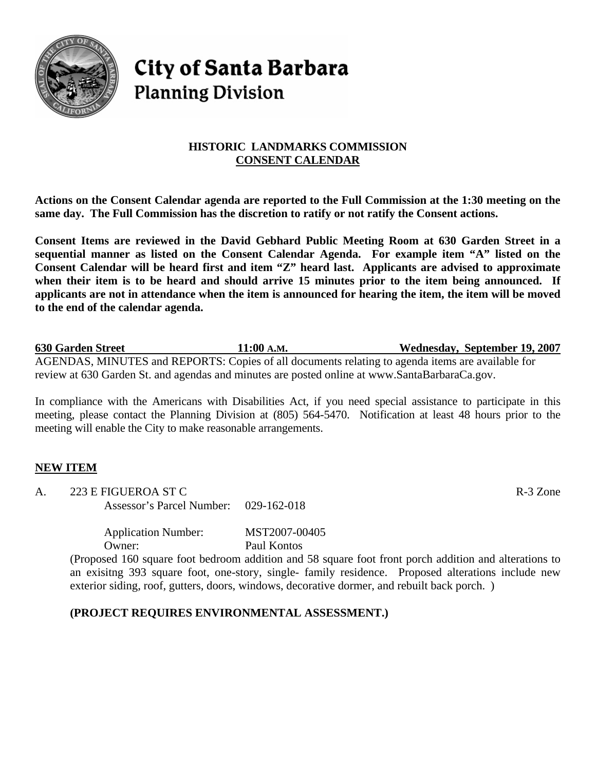

# **City of Santa Barbara Planning Division**

## **HISTORIC LANDMARKS COMMISSION CONSENT CALENDAR**

**Actions on the Consent Calendar agenda are reported to the Full Commission at the 1:30 meeting on the same day. The Full Commission has the discretion to ratify or not ratify the Consent actions.** 

**Consent Items are reviewed in the David Gebhard Public Meeting Room at 630 Garden Street in a sequential manner as listed on the Consent Calendar Agenda. For example item "A" listed on the Consent Calendar will be heard first and item "Z" heard last. Applicants are advised to approximate when their item is to be heard and should arrive 15 minutes prior to the item being announced. If applicants are not in attendance when the item is announced for hearing the item, the item will be moved to the end of the calendar agenda.** 

**630 Garden Street 11:00 A.M. Wednesday, September 19, 2007** AGENDAS, MINUTES and REPORTS: Copies of all documents relating to agenda items are available for review at 630 Garden St. and agendas and minutes are posted online at www.SantaBarbaraCa.gov.

In compliance with the Americans with Disabilities Act, if you need special assistance to participate in this meeting, please contact the Planning Division at (805) 564-5470. Notification at least 48 hours prior to the meeting will enable the City to make reasonable arrangements.

# **NEW ITEM**

A. 223 E FIGUEROA ST C R-3 Zone Assessor's Parcel Number: 029-162-018

> Application Number: MST2007-00405 Owner: Paul Kontos

(Proposed 160 square foot bedroom addition and 58 square foot front porch addition and alterations to an exisitng 393 square foot, one-story, single- family residence. Proposed alterations include new exterior siding, roof, gutters, doors, windows, decorative dormer, and rebuilt back porch. )

### **(PROJECT REQUIRES ENVIRONMENTAL ASSESSMENT.)**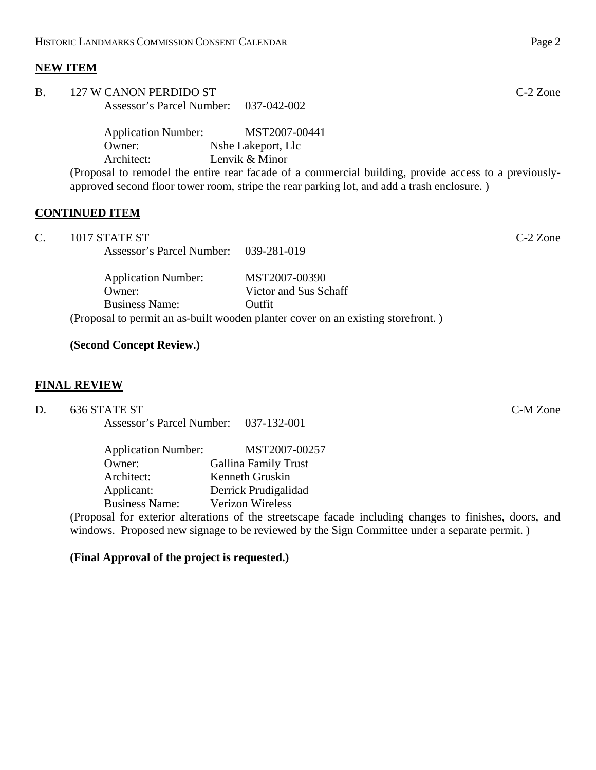#### **NEW ITEM**

| <b>B.</b> | 127 W CANON PERDIDO ST                                                                                                                                                                              |                    | $C-2$ Zone |
|-----------|-----------------------------------------------------------------------------------------------------------------------------------------------------------------------------------------------------|--------------------|------------|
|           | Assessor's Parcel Number: 037-042-002                                                                                                                                                               |                    |            |
|           | <b>Application Number:</b>                                                                                                                                                                          | MST2007-00441      |            |
|           | Owner:                                                                                                                                                                                              | Nshe Lakeport, Llc |            |
|           | Architect:                                                                                                                                                                                          | Lenvik & Minor     |            |
|           | (Proposal to remodel the entire rear facade of a commercial building, provide access to a previously-<br>approved second floor tower room, stripe the rear parking lot, and add a trash enclosure.) |                    |            |
|           |                                                                                                                                                                                                     |                    |            |

#### **CONTINUED ITEM**

| C. | $1017$ STATE ST                       |  | $C-2$ Zone |
|----|---------------------------------------|--|------------|
|    | Assessor's Parcel Number: 039-281-019 |  |            |
|    |                                       |  |            |

Application Number: MST2007-00390 Owner: Victor and Sus Schaff Business Name: Outfit (Proposal to permit an as-built wooden planter cover on an existing storefront. )

## **(Second Concept Review.)**

#### **FINAL REVIEW**

D. 636 STATE ST C-M Zone

Assessor's Parcel Number: 037-132-001

| <b>Application Number:</b> | MST2007-00257               |
|----------------------------|-----------------------------|
| Owner:                     | <b>Gallina Family Trust</b> |
| Architect:                 | Kenneth Gruskin             |
| Applicant:                 | Derrick Prudigalidad        |
| <b>Business Name:</b>      | <b>Verizon Wireless</b>     |

(Proposal for exterior alterations of the streetscape facade including changes to finishes, doors, and windows. Proposed new signage to be reviewed by the Sign Committee under a separate permit.)

#### **(Final Approval of the project is requested.)**